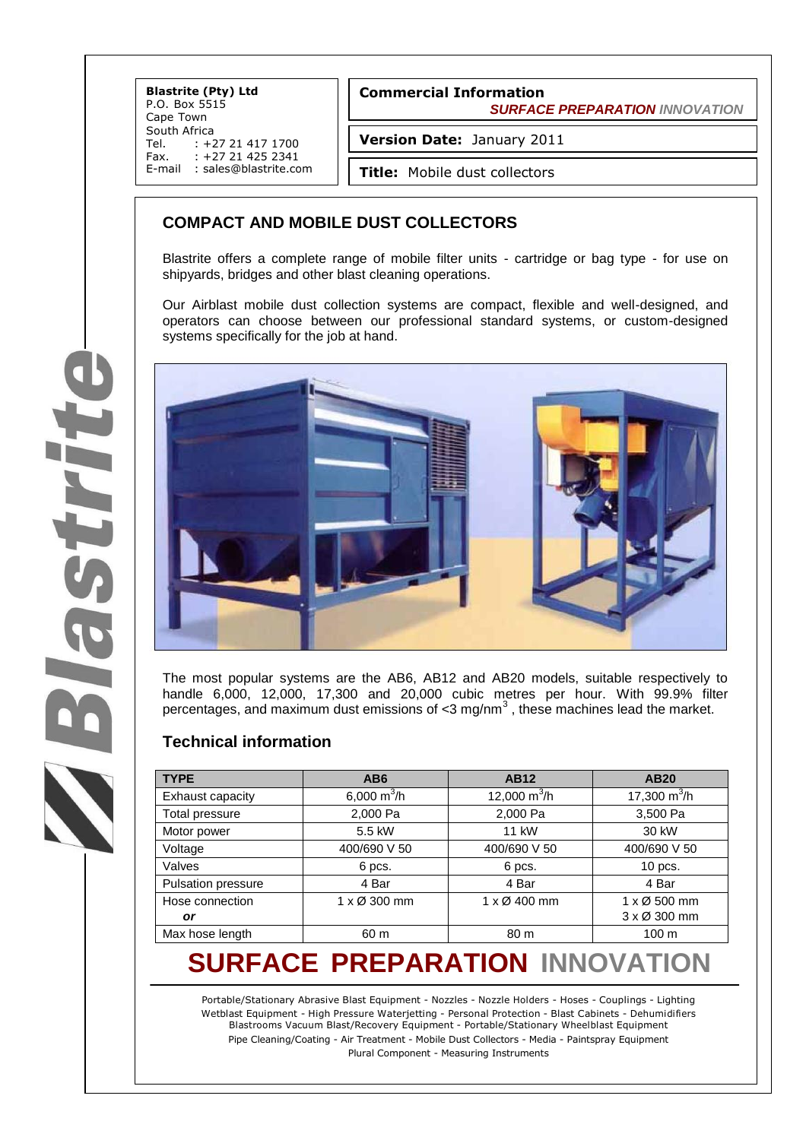**Blastrite (Pty) Ltd** P.O. Box 5515 Cape Town South Africa<br>Tel. : +2 Tel. : +27 21 417 1700<br>Fax. : +27 21 425 2341 +27 21 425 2341 E-mail : sales@blastrite.com

**Version Date:** January 2011

**Title:** Mobile dust collectors

### **COMPACT AND MOBILE DUST COLLECTORS**

Blastrite offers a complete range of mobile filter units - cartridge or bag type - for use on shipyards, bridges and other blast cleaning operations.

Our Airblast mobile dust collection systems are compact, flexible and well-designed, and operators can choose between our professional standard systems, or custom-designed systems specifically for the job at hand.



The most popular systems are the AB6, AB12 and AB20 models, suitable respectively to handle 6,000, 12,000, 17,300 and 20,000 cubic metres per hour. With 99.9% filter percentages, and maximum dust emissions of <3 mg/nm<sup>3</sup>, these machines lead the market.

#### **Technical information**

| <b>TYPE</b>               | AB <sub>6</sub> | <b>AB12</b>         | <b>AB20</b>                 |
|---------------------------|-----------------|---------------------|-----------------------------|
| Exhaust capacity          | 6,000 $m^3/h$   | 12,000 $m^3/h$      | 17,300 $m^3/h$              |
| <b>Total pressure</b>     | 2,000 Pa        | 2,000 Pa            | 3,500 Pa                    |
| Motor power               | 5.5 kW          | 11 kW               | 30 kW                       |
| Voltage                   | 400/690 V 50    | 400/690 V 50        | 400/690 V 50                |
| Valves                    | 6 pcs.          | 6 pcs.              | 10 pcs.                     |
| <b>Pulsation pressure</b> | 4 Bar           | 4 Bar               | 4 Bar                       |
| Hose connection           | 1 x Ø 300 mm    | $1 \times Q$ 400 mm | $1 \times \emptyset$ 500 mm |
| or                        |                 |                     | $3 \times 0$ 300 mm         |
| Max hose length           | 60 m            | 80 m                | 100 <sub>m</sub>            |

# **SURFACE PREPARATION INNOVATION**

Portable/Stationary Abrasive Blast Equipment - Nozzles - Nozzle Holders - Hoses - Couplings - Lighting Wetblast Equipment - High Pressure Waterjetting - Personal Protection - Blast Cabinets - Dehumidifiers Blastrooms Vacuum Blast/Recovery Equipment - Portable/Stationary Wheelblast Equipment Pipe Cleaning/Coating - Air Treatment - Mobile Dust Collectors - Media - Paintspray Equipment Plural Component - Measuring Instruments